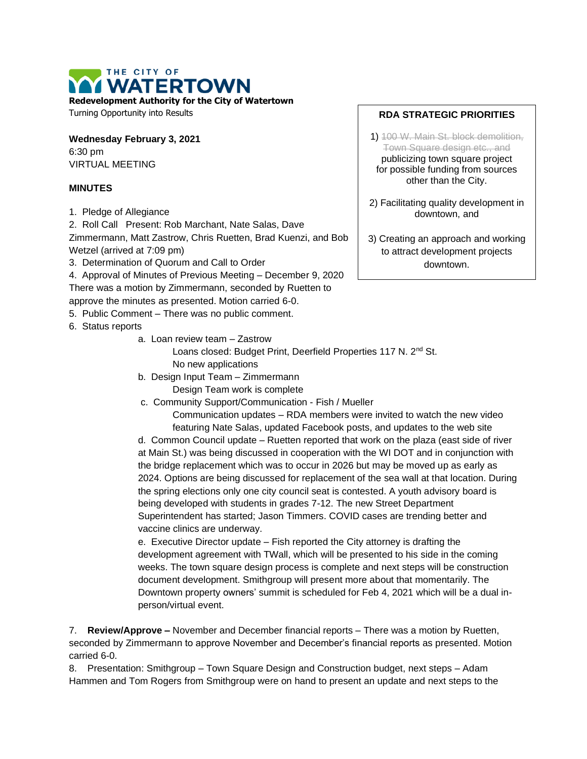## THE CITY OF **WATERTOWN**

**Redevelopment Authority for the City of Watertown**

Turning Opportunity into Results

**Wednesday February 3, 2021** 6:30 pm VIRTUAL MEETING

## **MINUTES**

1. Pledge of Allegiance

2. Roll Call Present: Rob Marchant, Nate Salas, Dave

Zimmermann, Matt Zastrow, Chris Ruetten, Brad Kuenzi, and Bob Wetzel (arrived at 7:09 pm)

3. Determination of Quorum and Call to Order

4. Approval of Minutes of Previous Meeting – December 9, 2020 There was a motion by Zimmermann, seconded by Ruetten to approve the minutes as presented. Motion carried 6-0.

5. Public Comment – There was no public comment.

- 6. Status reports
	- a. Loan review team Zastrow

Loans closed: Budget Print, Deerfield Properties 117 N. 2<sup>nd</sup> St. No new applications

- b. Design Input Team Zimmermann Design Team work is complete
- c. Community Support/Communication Fish / Mueller

Communication updates – RDA members were invited to watch the new video featuring Nate Salas, updated Facebook posts, and updates to the web site

d. Common Council update – Ruetten reported that work on the plaza (east side of river at Main St.) was being discussed in cooperation with the WI DOT and in conjunction with the bridge replacement which was to occur in 2026 but may be moved up as early as 2024. Options are being discussed for replacement of the sea wall at that location. During the spring elections only one city council seat is contested. A youth advisory board is being developed with students in grades 7-12. The new Street Department Superintendent has started; Jason Timmers. COVID cases are trending better and vaccine clinics are underway.

e. Executive Director update – Fish reported the City attorney is drafting the development agreement with TWall, which will be presented to his side in the coming weeks. The town square design process is complete and next steps will be construction document development. Smithgroup will present more about that momentarily. The Downtown property owners' summit is scheduled for Feb 4, 2021 which will be a dual inperson/virtual event.

7. **Review/Approve –** November and December financial reports – There was a motion by Ruetten, seconded by Zimmermann to approve November and December's financial reports as presented. Motion carried 6-0.

8. Presentation: Smithgroup – Town Square Design and Construction budget, next steps – Adam Hammen and Tom Rogers from Smithgroup were on hand to present an update and next steps to the

## **RDA STRATEGIC PRIORITIES**

1) 100 W. Main St. block demolition, Town Square design etc., and publicizing town square project for possible funding from sources other than the City.

2) Facilitating quality development in downtown, and

3) Creating an approach and working to attract development projects downtown.